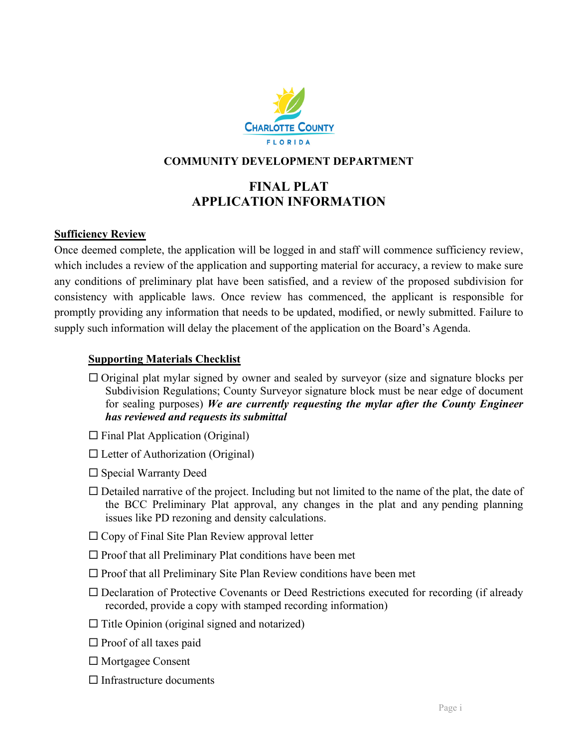

### **COMMUNITY DEVELOPMENT DEPARTMENT**

### **FINAL PLAT APPLICATION INFORMATION**

### **Sufficiency Review**

Once deemed complete, the application will be logged in and staff will commence sufficiency review, which includes a review of the application and supporting material for accuracy, a review to make sure any conditions of preliminary plat have been satisfied, and a review of the proposed subdivision for consistency with applicable laws. Once review has commenced, the applicant is responsible for promptly providing any information that needs to be updated, modified, or newly submitted. Failure to supply such information will delay the placement of the application on the Board's Agenda.

### **Supporting Materials Checklist**

- $\Box$  Original plat mylar signed by owner and sealed by surveyor (size and signature blocks per Subdivision Regulations; County Surveyor signature block must be near edge of document for sealing purposes) *We are currently requesting the mylar after the County Engineer has reviewed and requests its submittal*
- $\square$  Final Plat Application (Original)
- $\square$  Letter of Authorization (Original)
- $\square$  Special Warranty Deed
- $\Box$  Detailed narrative of the project. Including but not limited to the name of the plat, the date of the BCC Preliminary Plat approval, any changes in the plat and any pending planning issues like PD rezoning and density calculations.
- $\Box$  Copy of Final Site Plan Review approval letter
- $\square$  Proof that all Preliminary Plat conditions have been met
- $\square$  Proof that all Preliminary Site Plan Review conditions have been met
- Declaration of Protective Covenants or Deed Restrictions executed for recording (if already recorded, provide a copy with stamped recording information)
- $\Box$  Title Opinion (original signed and notarized)
- $\square$  Proof of all taxes paid
- □ Mortgagee Consent
- $\Box$  Infrastructure documents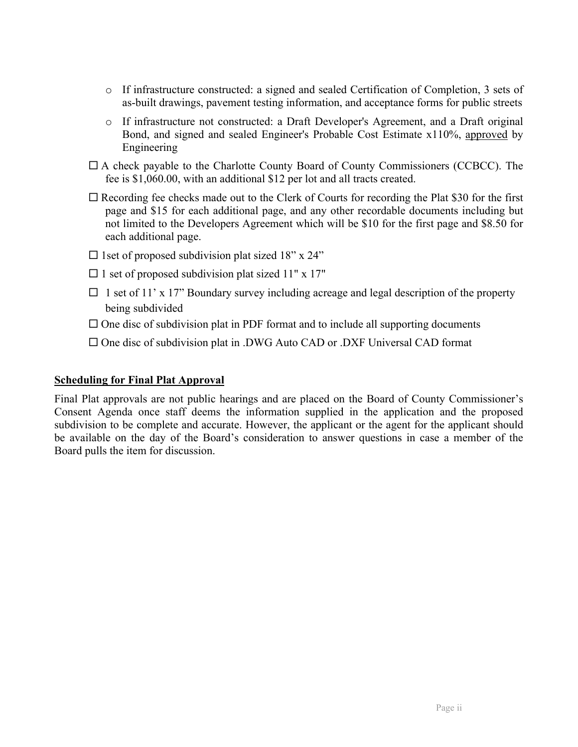- o If infrastructure constructed: a signed and sealed Certification of Completion, 3 sets of as-built drawings, pavement testing information, and acceptance forms for public streets
- o If infrastructure not constructed: a Draft Developer's Agreement, and a Draft original Bond, and signed and sealed Engineer's Probable Cost Estimate x110%, approved by Engineering
- $\Box$  A check payable to the Charlotte County Board of County Commissioners (CCBCC). The fee is \$1,060.00, with an additional \$12 per lot and all tracts created.
- $\Box$  Recording fee checks made out to the Clerk of Courts for recording the Plat \$30 for the first page and \$15 for each additional page, and any other recordable documents including but not limited to the Developers Agreement which will be \$10 for the first page and \$8.50 for each additional page.
- $\Box$  1set of proposed subdivision plat sized 18" x 24"
- $\Box$  1 set of proposed subdivision plat sized 11" x 17"
- $\Box$  1 set of 11' x 17" Boundary survey including acreage and legal description of the property being subdivided
- $\Box$  One disc of subdivision plat in PDF format and to include all supporting documents
- $\square$  One disc of subdivision plat in .DWG Auto CAD or .DXF Universal CAD format

### **Scheduling for Final Plat Approval**

Final Plat approvals are not public hearings and are placed on the Board of County Commissioner's Consent Agenda once staff deems the information supplied in the application and the proposed subdivision to be complete and accurate. However, the applicant or the agent for the applicant should be available on the day of the Board's consideration to answer questions in case a member of the Board pulls the item for discussion.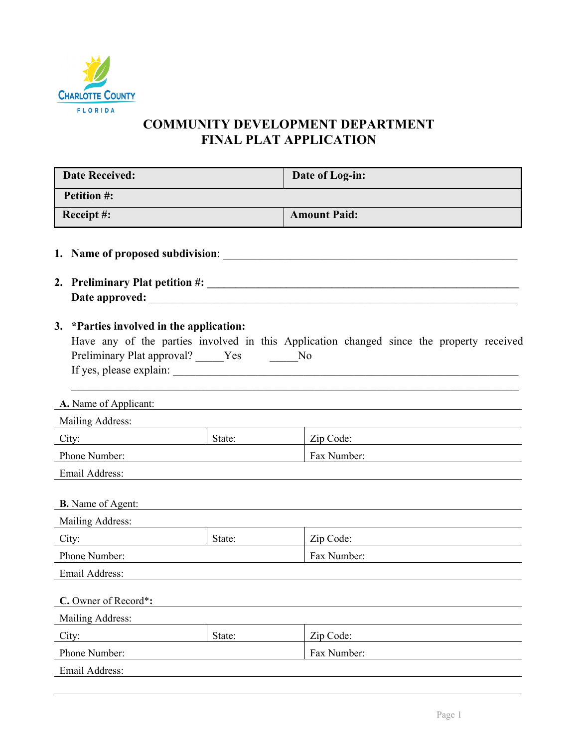

## **COMMUNITY DEVELOPMENT DEPARTMENT FINAL PLAT APPLICATION**

| <b>Date Received:</b>                                                                                    |        | Date of Log-in:                                                                          |  |  |  |  |  |  |
|----------------------------------------------------------------------------------------------------------|--------|------------------------------------------------------------------------------------------|--|--|--|--|--|--|
| <b>Petition #:</b>                                                                                       |        |                                                                                          |  |  |  |  |  |  |
| Receipt#:                                                                                                |        | <b>Amount Paid:</b>                                                                      |  |  |  |  |  |  |
| 1. Name of proposed subdivision:                                                                         |        |                                                                                          |  |  |  |  |  |  |
|                                                                                                          |        |                                                                                          |  |  |  |  |  |  |
| 3. *Parties involved in the application:<br>Preliminary Plat approval? _____Yes<br>A. Name of Applicant: |        | Have any of the parties involved in this Application changed since the property received |  |  |  |  |  |  |
| Mailing Address:                                                                                         |        |                                                                                          |  |  |  |  |  |  |
| City:<br><u> 1989 - Johann Barnett, fransk politiker (</u>                                               | State: | Zip Code:                                                                                |  |  |  |  |  |  |
| Phone Number:                                                                                            |        | Fax Number:                                                                              |  |  |  |  |  |  |
| Email Address:                                                                                           |        |                                                                                          |  |  |  |  |  |  |
| <b>B.</b> Name of Agent:                                                                                 |        |                                                                                          |  |  |  |  |  |  |
| Mailing Address:                                                                                         | State: | Zip Code:                                                                                |  |  |  |  |  |  |
| <u> 1980 - Jan Barat, prima politik (</u><br>City:<br>Phone Number:                                      |        | Fax Number:                                                                              |  |  |  |  |  |  |
| Email Address:                                                                                           |        |                                                                                          |  |  |  |  |  |  |
|                                                                                                          |        |                                                                                          |  |  |  |  |  |  |
| C. Owner of Record*:                                                                                     |        |                                                                                          |  |  |  |  |  |  |
| Mailing Address:                                                                                         |        |                                                                                          |  |  |  |  |  |  |
| City:                                                                                                    | State: | Zip Code:                                                                                |  |  |  |  |  |  |
| Phone Number:                                                                                            |        | Fax Number:                                                                              |  |  |  |  |  |  |
| Email Address:                                                                                           |        |                                                                                          |  |  |  |  |  |  |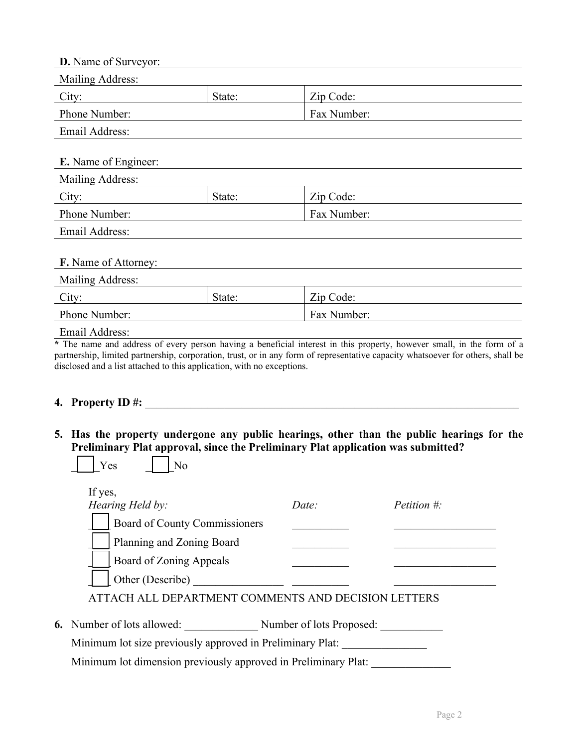| D. Name of Surveyor:                            |                     |             |  |  |  |  |  |  |  |
|-------------------------------------------------|---------------------|-------------|--|--|--|--|--|--|--|
| <b>Mailing Address:</b>                         |                     |             |  |  |  |  |  |  |  |
| City:                                           | Zip Code:<br>State: |             |  |  |  |  |  |  |  |
| Phone Number:                                   |                     | Fax Number: |  |  |  |  |  |  |  |
| Email Address:                                  |                     |             |  |  |  |  |  |  |  |
| <b>E.</b> Name of Engineer:<br>Mailing Address: |                     |             |  |  |  |  |  |  |  |
| City:                                           | State:              | Zip Code:   |  |  |  |  |  |  |  |
| Phone Number:                                   |                     | Fax Number: |  |  |  |  |  |  |  |
| Email Address:                                  |                     |             |  |  |  |  |  |  |  |
| F. Name of Attorney:<br>Mailing Address:        |                     |             |  |  |  |  |  |  |  |
| Zip Code:<br>City:<br>State:                    |                     |             |  |  |  |  |  |  |  |
| Phone Number:                                   |                     | Fax Number: |  |  |  |  |  |  |  |
| Email Address:                                  |                     |             |  |  |  |  |  |  |  |

**\*** The name and address of every person having a beneficial interest in this property, however small, in the form of a partnership, limited partnership, corporation, trust, or in any form of representative capacity whatsoever for others, shall be disclosed and a list attached to this application, with no exceptions.

#### **4. Property ID #:**  $\blacksquare$

 $Yes$   $|$   $|$  No

**5. Has the property undergone any public hearings, other than the public hearings for the Preliminary Plat approval, since the Preliminary Plat application was submitted?** 

| If yes,<br>Hearing Held by:                         | Date:                    | <i>Petition</i> #: |
|-----------------------------------------------------|--------------------------|--------------------|
| Board of County Commissioners                       |                          |                    |
| Planning and Zoning Board                           |                          |                    |
| Board of Zoning Appeals                             |                          |                    |
| Other (Describe)                                    |                          |                    |
| ATTACH ALL DEPARTMENT COMMENTS AND DECISION LETTERS |                          |                    |
| <b>6.</b> Number of lots allowed:                   | Number of lots Proposed: |                    |

Minimum lot size previously approved in Preliminary Plat:

Minimum lot dimension previously approved in Preliminary Plat: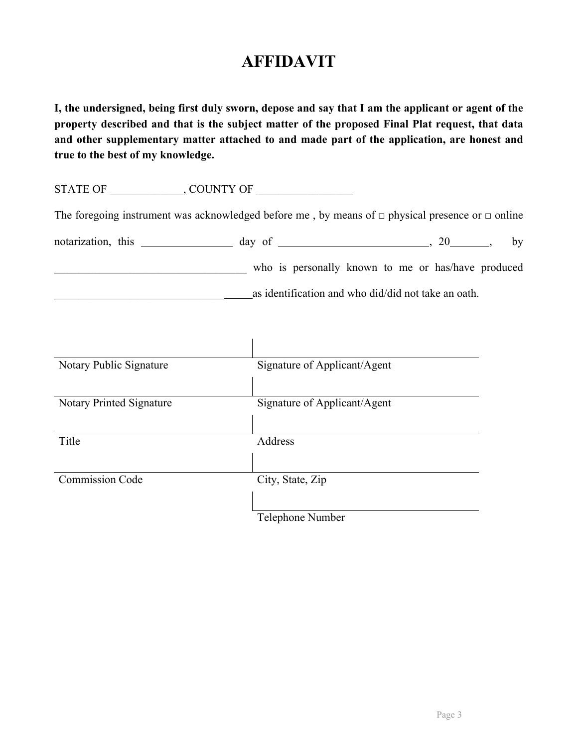# **AFFIDAVIT**

**I, the undersigned, being first duly sworn, depose and say that I am the applicant or agent of the property described and that is the subject matter of the proposed Final Plat request, that data and other supplementary matter attached to and made part of the application, are honest and true to the best of my knowledge.** 

STATE OF \_\_\_\_\_\_\_\_\_\_\_\_\_, COUNTY OF \_\_\_\_\_\_\_\_\_\_\_\_\_\_\_\_\_

The foregoing instrument was acknowledged before me, by means of  $\Box$  physical presence or  $\Box$  online

| notarization, this |  |  |  |  | day of |  |  |  |  |                                                     |  | bv |
|--------------------|--|--|--|--|--------|--|--|--|--|-----------------------------------------------------|--|----|
|                    |  |  |  |  |        |  |  |  |  | who is personally known to me or has/have produced  |  |    |
|                    |  |  |  |  |        |  |  |  |  | as identification and who did/did not take an oath. |  |    |

| Notary Public Signature         | Signature of Applicant/Agent |
|---------------------------------|------------------------------|
|                                 |                              |
| <b>Notary Printed Signature</b> | Signature of Applicant/Agent |
|                                 |                              |
| Title                           | <b>Address</b>               |
|                                 |                              |
| <b>Commission Code</b>          | City, State, Zip             |
|                                 |                              |
|                                 | Telephone Number             |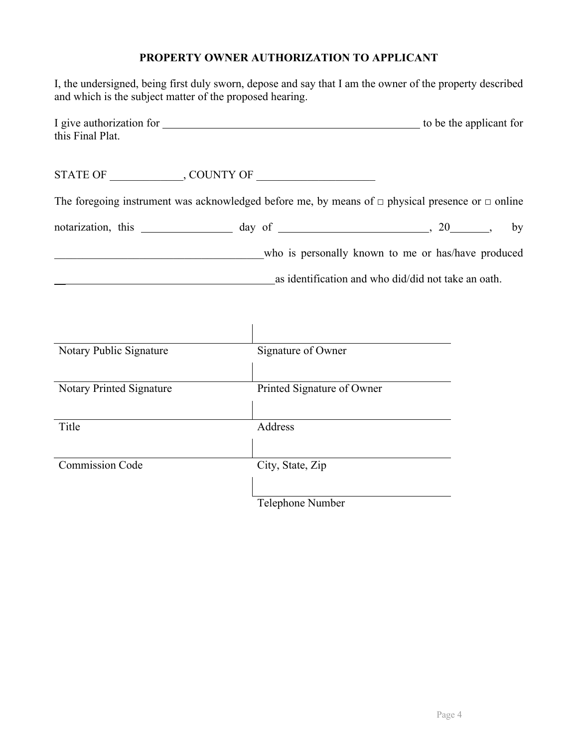### **PROPERTY OWNER AUTHORIZATION TO APPLICANT**

I, the undersigned, being first duly sworn, depose and say that I am the owner of the property described and which is the subject matter of the proposed hearing.

| I give authorization for | to be the applicant for |
|--------------------------|-------------------------|
| this Final Plat.         |                         |

STATE OF \_\_\_\_\_\_\_\_\_\_\_\_\_, COUNTY OF \_\_\_\_\_\_\_\_\_\_\_\_\_\_\_\_\_\_\_\_\_

The foregoing instrument was acknowledged before me, by means of  $\Box$  physical presence or  $\Box$  online

| notarization, this | day of |                                                     |  | bv |
|--------------------|--------|-----------------------------------------------------|--|----|
|                    |        | who is personally known to me or has/have produced  |  |    |
|                    |        | as identification and who did/did not take an oath. |  |    |

| Notary Public Signature  | Signature of Owner         |
|--------------------------|----------------------------|
|                          |                            |
| Notary Printed Signature | Printed Signature of Owner |
|                          |                            |
| Title                    | Address                    |
|                          |                            |
| <b>Commission Code</b>   | City, State, Zip           |
|                          |                            |
|                          | Telephone Number           |
|                          |                            |

 $\mathbf{I}$